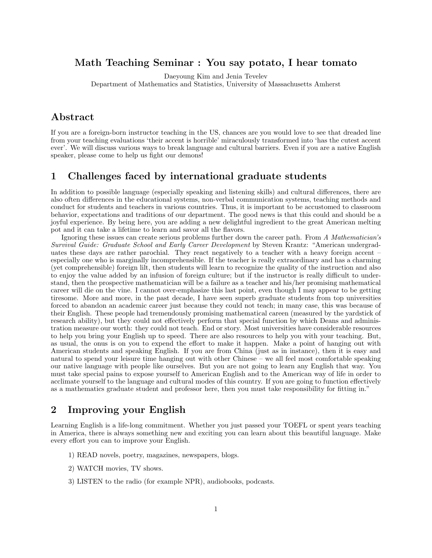#### Math Teaching Seminar : You say potato, I hear tomato

Daeyoung Kim and Jenia Tevelev

Department of Mathematics and Statistics, University of Massachusetts Amherst

## Abstract

If you are a foreign-born instructor teaching in the US, chances are you would love to see that dreaded line from your teaching evaluations 'their accent is horrible' miraculously transformed into 'has the cutest accent ever'. We will discuss various ways to break language and cultural barriers. Even if you are a native English speaker, please come to help us fight our demons!

### 1 Challenges faced by international graduate students

In addition to possible language (especially speaking and listening skills) and cultural differences, there are also often differences in the educational systems, non-verbal communication systems, teaching methods and conduct for students and teachers in various countries. Thus, it is important to be accustomed to classroom behavior, expectations and traditions of our department. The good news is that this could and should be a joyful experience. By being here, you are adding a new delightful ingredient to the great American melting pot and it can take a lifetime to learn and savor all the flavors.

Ignoring these issues can create serious problems further down the career path. From A Mathematician's Survival Guide: Graduate School and Early Career Development by Steven Krantz: "American undergraduates these days are rather parochial. They react negatively to a teacher with a heavy foreign accent – especially one who is marginally incomprehensible. If the teacher is really extraordinary and has a charming (yet comprehensible) foreign lilt, then students will learn to recognize the quality of the instruction and also to enjoy the value added by an infusion of foreign culture; but if the instructor is really difficult to understand, then the prospective mathematician will be a failure as a teacher and his/her promising mathematical career will die on the vine. I cannot over-emphasize this last point, even though I may appear to be getting tiresome. More and more, in the past decade, I have seen superb graduate students from top universities forced to abandon an academic career just because they could not teach; in many case, this was because of their English. These people had tremendously promising mathematical careen (measured by the yardstick of research ability), but they could not effectively perform that special function by which Deans and administration measure our worth: they could not teach. End or story. Most universities have considerable resources to help you bring your English up to speed. There are also resources to help you with your teaching. But, as usual, the onus is on you to expend the effort to make it happen. Make a point of hanging out with American students and speaking English. If you are from China (just as in instance), then it is easy and natural to spend your leisure time hanging out with other Chinese – we all feel most comfortable speaking our native language with people like ourselves. But you are not going to learn any English that way. You must take special pains to expose yourself to American English and to the American way of life in order to acclimate yourself to the language and cultural modes of this country. If you are going to function effectively as a mathematics graduate student and professor here, then you must take responsibility for fitting in."

### 2 Improving your English

Learning English is a life-long commitment. Whether you just passed your TOEFL or spent years teaching in America, there is always something new and exciting you can learn about this beautiful language. Make every effort you can to improve your English.

- 1) READ novels, poetry, magazines, newspapers, blogs.
- 2) WATCH movies, TV shows.
- 3) LISTEN to the radio (for example NPR), audiobooks, podcasts.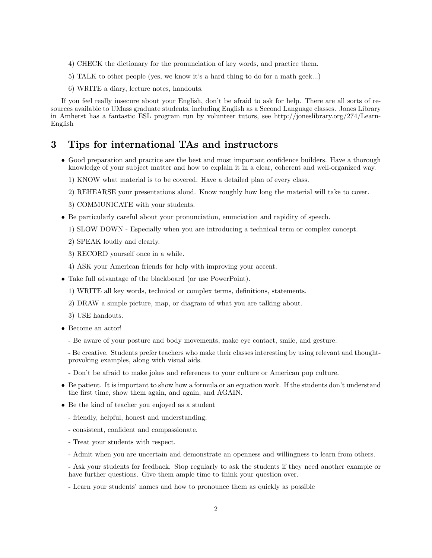- 4) CHECK the dictionary for the pronunciation of key words, and practice them.
- 5) TALK to other people (yes, we know it's a hard thing to do for a math geek...)
- 6) WRITE a diary, lecture notes, handouts.

If you feel really insecure about your English, don't be afraid to ask for help. There are all sorts of resources available to UMass graduate students, including English as a Second Language classes. Jones Library in Amherst has a fantastic ESL program run by volunteer tutors, see http://joneslibrary.org/274/Learn-English

#### 3 Tips for international TAs and instructors

- Good preparation and practice are the best and most important confidence builders. Have a thorough knowledge of your subject matter and how to explain it in a clear, coherent and well-organized way.
	- 1) KNOW what material is to be covered. Have a detailed plan of every class.
	- 2) REHEARSE your presentations aloud. Know roughly how long the material will take to cover.
	- 3) COMMUNICATE with your students.
- Be particularly careful about your pronunciation, enunciation and rapidity of speech.
	- 1) SLOW DOWN Especially when you are introducing a technical term or complex concept.
	- 2) SPEAK loudly and clearly.
	- 3) RECORD yourself once in a while.
	- 4) ASK your American friends for help with improving your accent.
- Take full advantage of the blackboard (or use PowerPoint).
	- 1) WRITE all key words, technical or complex terms, definitions, statements.
	- 2) DRAW a simple picture, map, or diagram of what you are talking about.
	- 3) USE handouts.
- Become an actor!
	- Be aware of your posture and body movements, make eye contact, smile, and gesture.

- Be creative. Students prefer teachers who make their classes interesting by using relevant and thoughtprovoking examples, along with visual aids.

- Don't be afraid to make jokes and references to your culture or American pop culture.
- Be patient. It is important to show how a formula or an equation work. If the students don't understand the first time, show them again, and again, and AGAIN.
- Be the kind of teacher you enjoyed as a student
	- friendly, helpful, honest and understanding;
	- consistent, confident and compassionate.
	- Treat your students with respect.
	- Admit when you are uncertain and demonstrate an openness and willingness to learn from others.

- Ask your students for feedback. Stop regularly to ask the students if they need another example or have further questions. Give them ample time to think your question over.

- Learn your students' names and how to pronounce them as quickly as possible